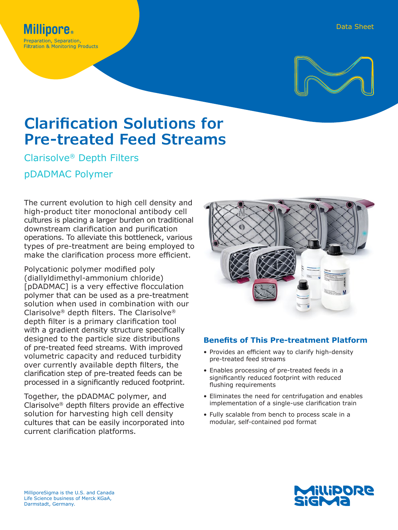

# **Clarification Solutions for Pre-treated Feed Streams**

Clarisolve® Depth Filters

pDADMAC Polymer

**Inore** Preparation, Separation, **Filtration & Monitoring Products** 

The current evolution to high cell density and high-product titer monoclonal antibody cell cultures is placing a larger burden on traditional downstream clarification and purification operations. To alleviate this bottleneck, various types of pre-treatment are being employed to make the clarification process more efficient.

Polycationic polymer modified poly (diallyldimethyl-ammonium chloride) [pDADMAC] is a very effective flocculation polymer that can be used as a pre-treatment solution when used in combination with our Clarisolve® depth filters. The Clarisolve® depth filter is a primary clarification tool with a gradient density structure specifically designed to the particle size distributions of pre-treated feed streams. With improved volumetric capacity and reduced turbidity over currently available depth filters, the clarification step of pre-treated feeds can be processed in a significantly reduced footprint.

Together, the pDADMAC polymer, and Clarisolve® depth filters provide an effective solution for harvesting high cell density cultures that can be easily incorporated into current clarification platforms.



## **Benefits of This Pre-treatment Platform**

- Provides an efficient way to clarify high-density pre-treated feed streams
- Enables processing of pre-treated feeds in a significantly reduced footprint with reduced flushing requirements
- Eliminates the need for centrifugation and enables implementation of a single-use clarification train
- Fully scalable from bench to process scale in a modular, self-contained pod format

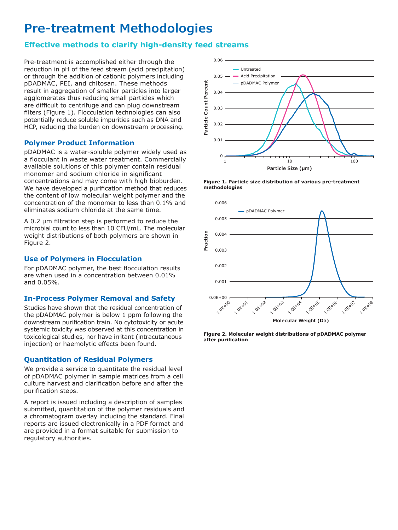## **Pre-treatment Methodologies**

## **Effective methods to clarify high-density feed streams**

Pre-treatment is accomplished either through the reduction in pH of the feed stream (acid precipitation) or through the addition of cationic polymers including pDADMAC, PEI, and chitosan. These methods result in aggregation of smaller particles into larger agglomerates thus reducing small particles which are difficult to centrifuge and can plug downstream filters (Figure 1). Flocculation technologies can also potentially reduce soluble impurities such as DNA and HCP, reducing the burden on downstream processing.

## **Polymer Product Information**

pDADMAC is a water-soluble polymer widely used as a flocculant in waste water treatment. Commercially available solutions of this polymer contain residual monomer and sodium chloride in significant concentrations and may come with high bioburden. We have developed a purification method that reduces the content of low molecular weight polymer and the concentration of the monomer to less than 0.1% and eliminates sodium chloride at the same time.

A 0.2 μm filtration step is performed to reduce the microbial count to less than 10 CFU/mL. The molecular weight distributions of both polymers are shown in Figure 2.

## **Use of Polymers in Flocculation**

For pDADMAC polymer, the best flocculation results are when used in a concentration between 0.01% and 0.05%.

## **In-Process Polymer Removal and Safety**

Studies have shown that the residual concentration of the pDADMAC polymer is below 1 ppm following the downstream purification train. No cytotoxicity or acute systemic toxicity was observed at this concentration in toxicological studies, nor have irritant (intracutaneous injection) or haemolytic effects been found.

### **Quantitation of Residual Polymers**

We provide a service to quantitate the residual level of pDADMAC polymer in sample matrices from a cell culture harvest and clarification before and after the purification steps.

A report is issued including a description of samples submitted, quantitation of the polymer residuals and a chromatogram overlay including the standard. Final reports are issued electronically in a PDF format and are provided in a format suitable for submission to regulatory authorities.



**Figure 1. Particle size distribution of various pre-treatment methodologies**



**Figure 2. Molecular weight distributions of pDADMAC polymer after purification**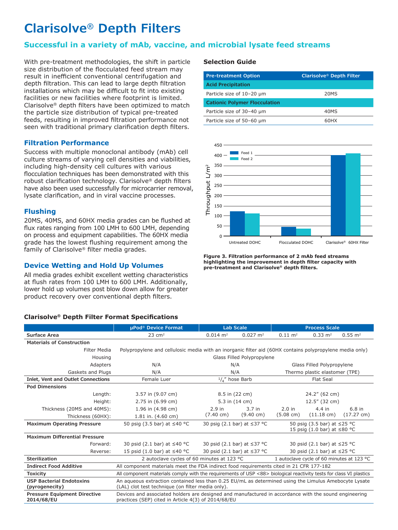## **Clarisolve® Depth Filters**

## **Successful in a variety of mAb, vaccine, and microbial lysate feed streams**

With pre-treatment methodologies, the shift in particle size distribution of the flocculated feed stream may result in inefficient conventional centrifugation and depth filtration. This can lead to large depth filtration installations which may be difficult to fit into existing facilities or new facilities where footprint is limited. Clarisolve® depth filters have been optimized to match the particle size distribution of typical pre-treated feeds, resulting in improved filtration performance not seen with traditional primary clarification depth filters.

#### **Filtration Performance**

Success with multiple monoclonal antibody (mAb) cell culture streams of varying cell densities and viabilities, including high-density cell cultures with various flocculation techniques has been demonstrated with this robust clarification technology. Clarisolve® depth filters have also been used successfully for microcarrier removal, lysate clarification, and in viral vaccine processes.

### **Flushing**

20MS, 40MS, and 60HX media grades can be flushed at flux rates ranging from 100 LMH to 600 LMH, depending on process and equipment capabilities. The 60HX media grade has the lowest flushing requirement among the family of Clarisolve® filter media grades.

### **Device Wetting and Hold Up Volumes**

All media grades exhibit excellent wetting characteristics at flush rates from 100 LMH to 600 LMH. Additionally, lower hold up volumes post blow down allow for greater product recovery over conventional depth filters.

#### **Clarisolve® Depth Filter Format Specifications**

#### **Selection Guide**

| <b>Pre-treatment Option</b>          | <b>Clarisolve<sup>®</sup> Depth Filter</b> |  |  |  |
|--------------------------------------|--------------------------------------------|--|--|--|
| <b>Acid Precipitation</b>            |                                            |  |  |  |
| Particle size of 10-20 um            | 20MS                                       |  |  |  |
| <b>Cationic Polymer Flocculation</b> |                                            |  |  |  |
| Particle size of 30-40 µm            | 40MS                                       |  |  |  |
| Particle size of 50-60 um            | 60HX                                       |  |  |  |



**Figure 3. Filtration performance of 2 mAb feed streams highlighting the improvement in depth filter capacity with pre-treatment and Clarisolve® depth filters.**

|                                                   | µPod <sup>®</sup> Device Format                                                                                                                              | <b>Lab Scale</b>                          |                     | <b>Process Scale</b>                                             |                             |                      |
|---------------------------------------------------|--------------------------------------------------------------------------------------------------------------------------------------------------------------|-------------------------------------------|---------------------|------------------------------------------------------------------|-----------------------------|----------------------|
| <b>Surface Area</b>                               | $23 \text{ cm}^2$                                                                                                                                            | $0.014 \text{ m}^2$                       | $0.027 \text{ m}^2$ | $0.11 \text{ m}^2$                                               | $0.33 \text{ m}^2$          | $0.55 \; \text{m}^2$ |
| <b>Materials of Construction</b>                  |                                                                                                                                                              |                                           |                     |                                                                  |                             |                      |
| <b>Filter Media</b>                               | Polypropylene and cellulosic media with an inorganic filter aid (60HX contains polypropylene media only)                                                     |                                           |                     |                                                                  |                             |                      |
| Housing                                           | Glass Filled Polypropylene                                                                                                                                   |                                           |                     |                                                                  |                             |                      |
| Adapters                                          | N/A                                                                                                                                                          | N/A                                       |                     | Glass Filled Polypropylene                                       |                             |                      |
| Gaskets and Plugs                                 | N/A                                                                                                                                                          | N/A                                       |                     | Thermo plastic elastomer (TPE)                                   |                             |                      |
| <b>Inlet, Vent and Outlet Connections</b>         | Female Luer                                                                                                                                                  | $\frac{1}{4}$ " hose Barb                 |                     | Flat Seal                                                        |                             |                      |
| <b>Pod Dimensions</b>                             |                                                                                                                                                              |                                           |                     |                                                                  |                             |                      |
| Length:                                           | 3.57 in (9.07 cm)                                                                                                                                            | 8.5 in (22 cm)                            |                     | 24.2" (62 cm)                                                    |                             |                      |
| Height:                                           | 2.75 in (6.99 cm)                                                                                                                                            | 5.3 in (14 cm)                            |                     | 12.5" (32 cm)                                                    |                             |                      |
| Thickness (20MS and 40MS):                        | 1.96 in (4.98 cm)                                                                                                                                            | $2.9$ in                                  | 3.7 <sub>in</sub>   | $2.0$ in                                                         | 4.4 in                      | $6.8$ in             |
| Thickness (60HX):                                 | 1.81 in. $(4.60 \text{ cm})$                                                                                                                                 | $(7.40 \text{ cm})$                       | $(9.40 \text{ cm})$ | $(5.08 \text{ cm})$                                              | $(11.18 \text{ cm})$        | $(17.27 \text{ cm})$ |
| <b>Maximum Operating Pressure</b>                 | 50 psig (3.5 bar) at ≤40 °C                                                                                                                                  | 30 psig (2.1 bar) at ≤37 °C               |                     | 50 psig (3.5 bar) at ≤25 °C<br>15 psig (1.0 bar) at $\leq$ 80 °C |                             |                      |
| <b>Maximum Differential Pressure</b>              |                                                                                                                                                              |                                           |                     |                                                                  |                             |                      |
| Forward:                                          | 30 psid (2.1 bar) at $\leq$ 40 °C                                                                                                                            | 30 psid (2.1 bar) at ≤37 °C               |                     | 30 psid (2.1 bar) at ≤25 °C                                      |                             |                      |
| Reverse:                                          | 15 psid (1.0 bar) at $\leq$ 40 °C                                                                                                                            | 30 psid (2.1 bar) at ≤37 °C               |                     |                                                                  | 30 psid (2.1 bar) at ≤25 °C |                      |
| <b>Sterilization</b>                              | 2 autoclave cycles of 60 minutes at 123 °C                                                                                                                   | 1 autoclave cycle of 60 minutes at 123 °C |                     |                                                                  |                             |                      |
| <b>Indirect Food Additive</b>                     | All component materials meet the FDA indirect food requirements cited in 21 CFR 177-182                                                                      |                                           |                     |                                                                  |                             |                      |
| <b>Toxicity</b>                                   | All component materials comply with the requirements of USP <88> biological reactivity tests for class VI plastics                                           |                                           |                     |                                                                  |                             |                      |
| <b>USP Bacterial Endotoxins</b><br>(pyrogenecity) | An aqueous extraction contained less than 0.25 EU/mL as determined using the Limulus Amebocyte Lysate<br>(LAL) clot test technique (on filter media only).   |                                           |                     |                                                                  |                             |                      |
| <b>Pressure Equipment Directive</b><br>2014/68/EU | Devices and associated holders are designed and manufactured in accordance with the sound engineering<br>practices (SEP) cited in Article 4(3) of 2014/68/EU |                                           |                     |                                                                  |                             |                      |